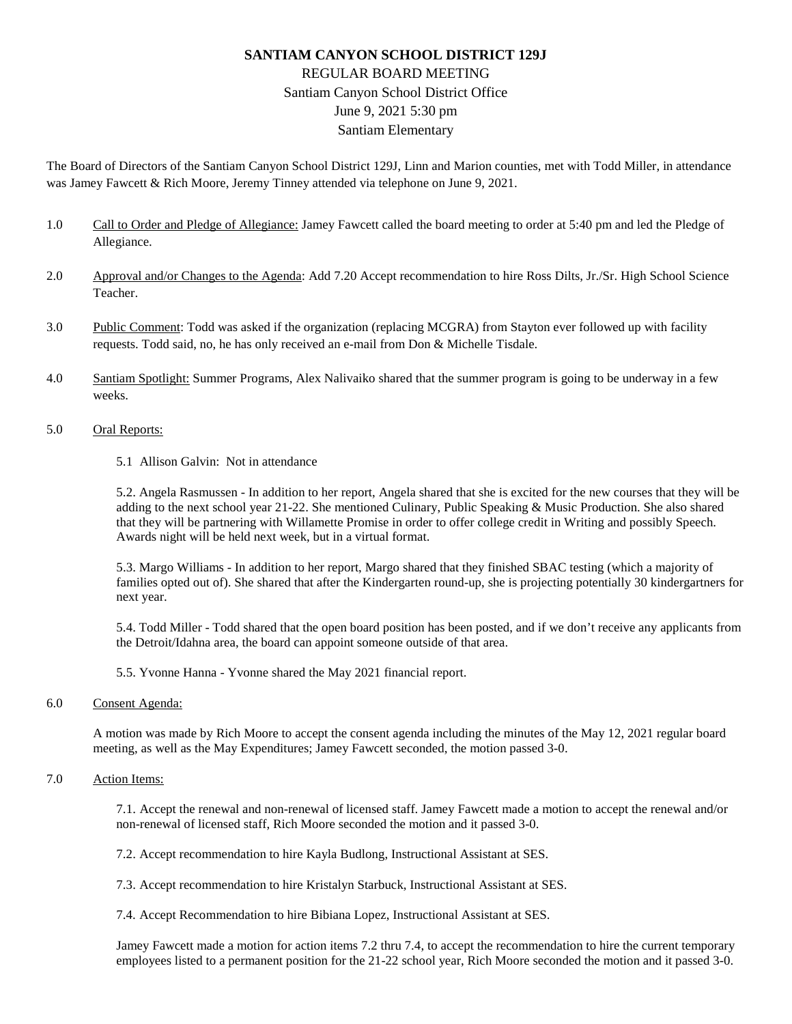## **SANTIAM CANYON SCHOOL DISTRICT 129J** REGULAR BOARD MEETING Santiam Canyon School District Office June 9, 2021 5:30 pm Santiam Elementary

The Board of Directors of the Santiam Canyon School District 129J, Linn and Marion counties, met with Todd Miller, in attendance was Jamey Fawcett & Rich Moore, Jeremy Tinney attended via telephone on June 9, 2021.

- 1.0 Call to Order and Pledge of Allegiance: Jamey Fawcett called the board meeting to order at 5:40 pm and led the Pledge of Allegiance.
- 2.0 Approval and/or Changes to the Agenda: Add 7.20 Accept recommendation to hire Ross Dilts, Jr./Sr. High School Science Teacher.
- 3.0 Public Comment: Todd was asked if the organization (replacing MCGRA) from Stayton ever followed up with facility requests. Todd said, no, he has only received an e-mail from Don & Michelle Tisdale.
- 4.0 Santiam Spotlight: Summer Programs, Alex Nalivaiko shared that the summer program is going to be underway in a few weeks.
- 5.0 Oral Reports:
	- 5.1 Allison Galvin: Not in attendance

5.2. Angela Rasmussen - In addition to her report, Angela shared that she is excited for the new courses that they will be adding to the next school year 21-22. She mentioned Culinary, Public Speaking & Music Production. She also shared that they will be partnering with Willamette Promise in order to offer college credit in Writing and possibly Speech. Awards night will be held next week, but in a virtual format.

5.3. Margo Williams - In addition to her report, Margo shared that they finished SBAC testing (which a majority of families opted out of). She shared that after the Kindergarten round-up, she is projecting potentially 30 kindergartners for next year.

5.4. Todd Miller - Todd shared that the open board position has been posted, and if we don't receive any applicants from the Detroit/Idahna area, the board can appoint someone outside of that area.

5.5. Yvonne Hanna - Yvonne shared the May 2021 financial report.

6.0 Consent Agenda:

A motion was made by Rich Moore to accept the consent agenda including the minutes of the May 12, 2021 regular board meeting, as well as the May Expenditures; Jamey Fawcett seconded, the motion passed 3-0.

## 7.0 Action Items:

7.1. Accept the renewal and non-renewal of licensed staff. Jamey Fawcett made a motion to accept the renewal and/or non-renewal of licensed staff, Rich Moore seconded the motion and it passed 3-0.

7.2. Accept recommendation to hire Kayla Budlong, Instructional Assistant at SES.

7.3. Accept recommendation to hire Kristalyn Starbuck, Instructional Assistant at SES.

7.4. Accept Recommendation to hire Bibiana Lopez, Instructional Assistant at SES.

Jamey Fawcett made a motion for action items 7.2 thru 7.4, to accept the recommendation to hire the current temporary employees listed to a permanent position for the 21-22 school year, Rich Moore seconded the motion and it passed 3-0.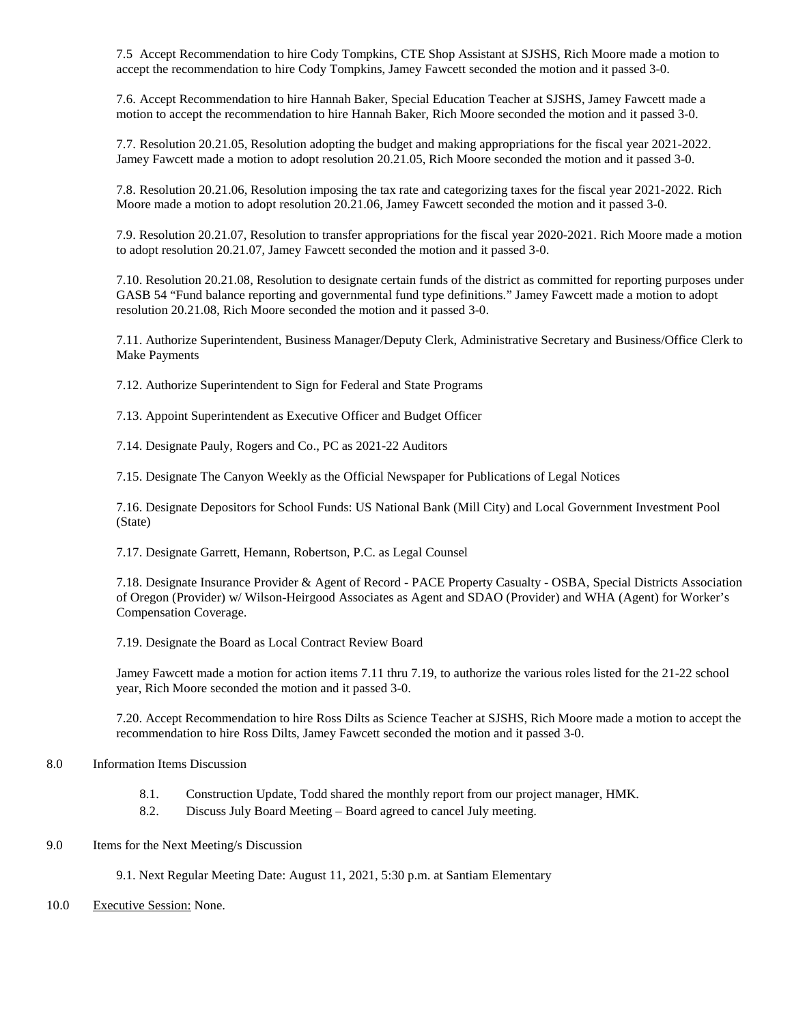7.5 Accept Recommendation to hire Cody Tompkins, CTE Shop Assistant at SJSHS, Rich Moore made a motion to accept the recommendation to hire Cody Tompkins, Jamey Fawcett seconded the motion and it passed 3-0.

7.6. Accept Recommendation to hire Hannah Baker, Special Education Teacher at SJSHS, Jamey Fawcett made a motion to accept the recommendation to hire Hannah Baker, Rich Moore seconded the motion and it passed 3-0.

7.7. Resolution 20.21.05, Resolution adopting the budget and making appropriations for the fiscal year 2021-2022. Jamey Fawcett made a motion to adopt resolution 20.21.05, Rich Moore seconded the motion and it passed 3-0.

7.8. Resolution 20.21.06, Resolution imposing the tax rate and categorizing taxes for the fiscal year 2021-2022. Rich Moore made a motion to adopt resolution 20.21.06, Jamey Fawcett seconded the motion and it passed 3-0.

7.9. Resolution 20.21.07, Resolution to transfer appropriations for the fiscal year 2020-2021. Rich Moore made a motion to adopt resolution 20.21.07, Jamey Fawcett seconded the motion and it passed 3-0.

7.10. Resolution 20.21.08, Resolution to designate certain funds of the district as committed for reporting purposes under GASB 54 "Fund balance reporting and governmental fund type definitions." Jamey Fawcett made a motion to adopt resolution 20.21.08, Rich Moore seconded the motion and it passed 3-0.

7.11. Authorize Superintendent, Business Manager/Deputy Clerk, Administrative Secretary and Business/Office Clerk to Make Payments

7.12. Authorize Superintendent to Sign for Federal and State Programs

7.13. Appoint Superintendent as Executive Officer and Budget Officer

7.14. Designate Pauly, Rogers and Co., PC as 2021-22 Auditors

7.15. Designate The Canyon Weekly as the Official Newspaper for Publications of Legal Notices

7.16. Designate Depositors for School Funds: US National Bank (Mill City) and Local Government Investment Pool (State)

7.17. Designate Garrett, Hemann, Robertson, P.C. as Legal Counsel

7.18. Designate Insurance Provider & Agent of Record - PACE Property Casualty - OSBA, Special Districts Association of Oregon (Provider) w/ Wilson-Heirgood Associates as Agent and SDAO (Provider) and WHA (Agent) for Worker's Compensation Coverage.

7.19. Designate the Board as Local Contract Review Board

Jamey Fawcett made a motion for action items 7.11 thru 7.19, to authorize the various roles listed for the 21-22 school year, Rich Moore seconded the motion and it passed 3-0.

7.20. Accept Recommendation to hire Ross Dilts as Science Teacher at SJSHS, Rich Moore made a motion to accept the recommendation to hire Ross Dilts, Jamey Fawcett seconded the motion and it passed 3-0.

## 8.0 Information Items Discussion

- 8.1. Construction Update, Todd shared the monthly report from our project manager, HMK.
- 8.2. Discuss July Board Meeting Board agreed to cancel July meeting.
- 9.0 Items for the Next Meeting/s Discussion

9.1. Next Regular Meeting Date: August 11, 2021, 5:30 p.m. at Santiam Elementary

10.0 Executive Session: None.